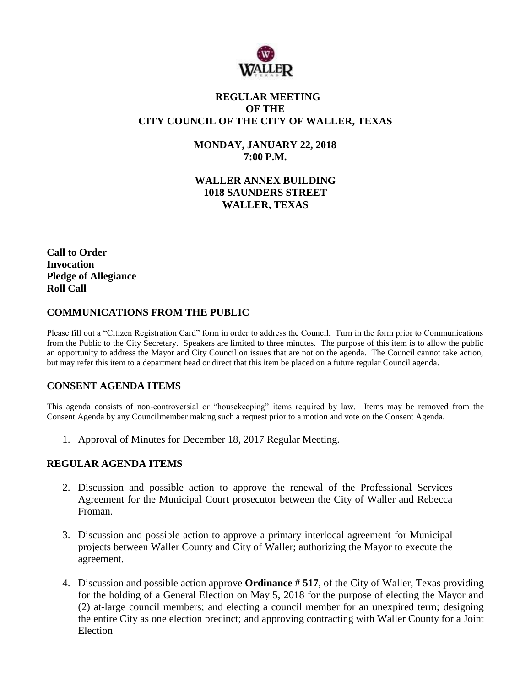

# **REGULAR MEETING OF THE CITY COUNCIL OF THE CITY OF WALLER, TEXAS**

**MONDAY, JANUARY 22, 2018 7:00 P.M.**

**WALLER ANNEX BUILDING 1018 SAUNDERS STREET WALLER, TEXAS**

**Call to Order Invocation Pledge of Allegiance Roll Call**

# **COMMUNICATIONS FROM THE PUBLIC**

Please fill out a "Citizen Registration Card" form in order to address the Council. Turn in the form prior to Communications from the Public to the City Secretary. Speakers are limited to three minutes. The purpose of this item is to allow the public an opportunity to address the Mayor and City Council on issues that are not on the agenda. The Council cannot take action, but may refer this item to a department head or direct that this item be placed on a future regular Council agenda.

### **CONSENT AGENDA ITEMS**

This agenda consists of non-controversial or "housekeeping" items required by law. Items may be removed from the Consent Agenda by any Councilmember making such a request prior to a motion and vote on the Consent Agenda.

1. Approval of Minutes for December 18, 2017 Regular Meeting.

### **REGULAR AGENDA ITEMS**

- 2. Discussion and possible action to approve the renewal of the Professional Services Agreement for the Municipal Court prosecutor between the City of Waller and Rebecca Froman.
- 3. Discussion and possible action to approve a primary interlocal agreement for Municipal projects between Waller County and City of Waller; authorizing the Mayor to execute the agreement.
- 4. Discussion and possible action approve **Ordinance # 517**, of the City of Waller, Texas providing for the holding of a General Election on May 5, 2018 for the purpose of electing the Mayor and (2) at-large council members; and electing a council member for an unexpired term; designing the entire City as one election precinct; and approving contracting with Waller County for a Joint Election